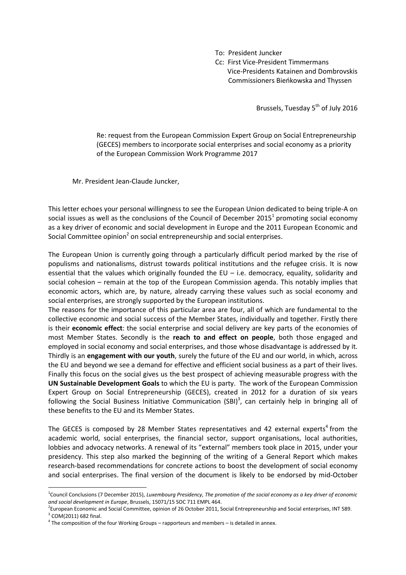To: President Juncker

 Cc: First Vice-President Timmermans Vice-Presidents Katainen and Dombrovskis Commissioners Bieńkowska and Thyssen

Brussels, Tuesday 5<sup>th</sup> of July 2016

Re: request from the European Commission Expert Group on Social Entrepreneurship (GECES) members to incorporate social enterprises and social economy as a priority of the European Commission Work Programme 2017

Mr. President Jean-Claude Juncker,

This letter echoes your personal willingness to see the European Union dedicated to being triple-A on social issues as well as the conclusions of the Council of December 2015<sup>1</sup> promoting social economy as a key driver of economic and social development in Europe and the 2011 European Economic and Social Committee opinion<sup>2</sup> on social entrepreneurship and social enterprises.

The European Union is currently going through a particularly difficult period marked by the rise of populisms and nationalisms, distrust towards political institutions and the refugee crisis. It is now essential that the values which originally founded the  $EU - i.e.$  democracy, equality, solidarity and social cohesion – remain at the top of the European Commission agenda. This notably implies that economic actors, which are, by nature, already carrying these values such as social economy and social enterprises, are strongly supported by the European institutions.

The reasons for the importance of this particular area are four, all of which are fundamental to the collective economic and social success of the Member States, individually and together. Firstly there is their **economic effect**: the social enterprise and social delivery are key parts of the economies of most Member States. Secondly is the **reach to and effect on people**, both those engaged and employed in social economy and social enterprises, and those whose disadvantage is addressed by it. Thirdly is an **engagement with our youth**, surely the future of the EU and our world, in which, across the EU and beyond we see a demand for effective and efficient social business as a part of their lives. Finally this focus on the social gives us the best prospect of achieving measurable progress with the **UN Sustainable Development Goals** to which the EU is party. The work of the European Commission Expert Group on Social Entrepreneurship (GECES), created in 2012 for a duration of six years following the Social Business Initiative Communication (SBI)<sup>3</sup>, can certainly help in bringing all of these benefits to the EU and its Member States.

The GECES is composed by 28 Member States representatives and 42 external experts<sup>4</sup> from the academic world, social enterprises, the financial sector, support organisations, local authorities, lobbies and advocacy networks. A renewal of its "external" members took place in 2015, under your presidency. This step also marked the beginning of the writing of a General Report which makes research-based recommendations for concrete actions to boost the development of social economy and social enterprises. The final version of the document is likely to be endorsed by mid-October

**.** 

<sup>1</sup> Council Conclusions (7 December 2015), *Luxembourg Presidency, The promotion of the social economy as a key driver of economic and social development in Europe*, Brussels, 15071/15 SOC 711 EMPL 464.

<sup>&</sup>lt;sup>2</sup>European Economic and Social Committee, opinion of 26 October 2011, Social Entrepreneurship and Social enterprises, INT 589. <sup>3</sup> COM(2011) 682 final.

 $<sup>4</sup>$  The composition of the four Working Groups – rapporteurs and members – is detailed in annex.</sup>